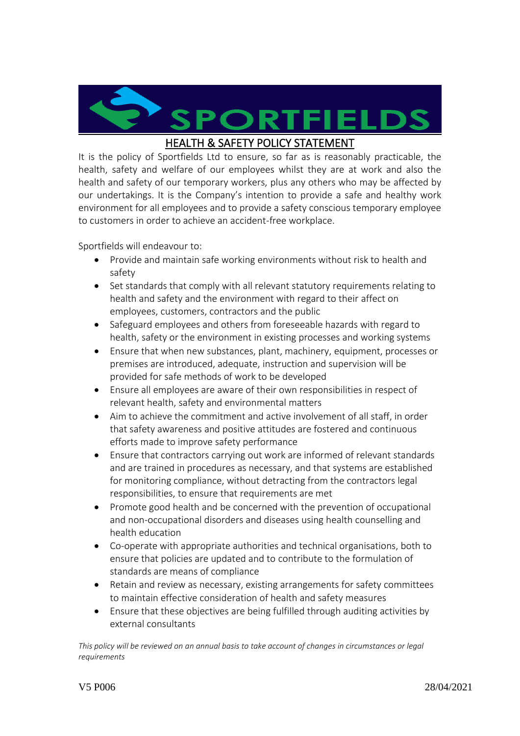**PORTFIELDS** 

## HEALTH & SAFETY POLICY STATEMENT

It is the policy of Sportfields Ltd to ensure, so far as is reasonably practicable, the health, safety and welfare of our employees whilst they are at work and also the health and safety of our temporary workers, plus any others who may be affected by our undertakings. It is the Company's intention to provide a safe and healthy work environment for all employees and to provide a safety conscious temporary employee to customers in order to achieve an accident-free workplace.

Sportfields will endeavour to:

- Provide and maintain safe working environments without risk to health and safety
- Set standards that comply with all relevant statutory requirements relating to health and safety and the environment with regard to their affect on employees, customers, contractors and the public
- Safeguard employees and others from foreseeable hazards with regard to health, safety or the environment in existing processes and working systems
- Ensure that when new substances, plant, machinery, equipment, processes or premises are introduced, adequate, instruction and supervision will be provided for safe methods of work to be developed
- Ensure all employees are aware of their own responsibilities in respect of relevant health, safety and environmental matters
- Aim to achieve the commitment and active involvement of all staff, in order that safety awareness and positive attitudes are fostered and continuous efforts made to improve safety performance
- Ensure that contractors carrying out work are informed of relevant standards and are trained in procedures as necessary, and that systems are established for monitoring compliance, without detracting from the contractors legal responsibilities, to ensure that requirements are met
- Promote good health and be concerned with the prevention of occupational and non-occupational disorders and diseases using health counselling and health education
- Co-operate with appropriate authorities and technical organisations, both to ensure that policies are updated and to contribute to the formulation of standards are means of compliance
- Retain and review as necessary, existing arrangements for safety committees to maintain effective consideration of health and safety measures
- Ensure that these objectives are being fulfilled through auditing activities by external consultants

*This policy will be reviewed on an annual basis to take account of changes in circumstances or legal requirements*